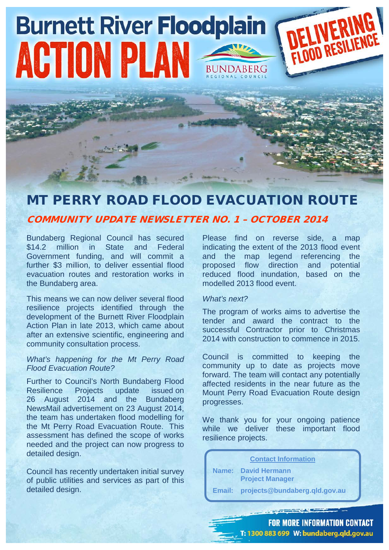# DELIVERING **Burnett River Floodplain** ACTION PLAN BUNDABERG

## MT PERRY ROAD FLOOD EVACUATION ROUTE

### COMMUNITY UPDATE NEWSLETTER NO. 1 – OCTOBER 2014

Bundaberg Regional Council has secured \$14.2 million in State and Federal Government funding, and will commit a further \$3 million, to deliver essential flood evacuation routes and restoration works in the Bundaberg area.

This means we can now deliver several flood resilience projects identified through the development of the Burnett River Floodplain Action Plan in late 2013, which came about after an extensive scientific, engineering and community consultation process.

#### *What's happening for the Mt Perry Road Flood Evacuation Route?*

Further to Council's North Bundaberg Flood Resilience Projects update issued on 26 August 2014 and the Bundaberg NewsMail advertisement on 23 August 2014, the team has undertaken flood modelling for the Mt Perry Road Evacuation Route. This assessment has defined the scope of works needed and the project can now progress to detailed design.

Council has recently undertaken initial survey of public utilities and services as part of this detailed design.

Please find on reverse side, a map indicating the extent of the 2013 flood event and the map legend referencing the<br>proposed flow direction and potential proposed flow reduced flood inundation, based on the modelled 2013 flood event.

#### *What's next?*

The program of works aims to advertise the tender and award the contract to the successful Contractor prior to Christmas 2014 with construction to commence in 2015.

Council is committed to keeping the community up to date as projects move forward. The team will contact any potentially affected residents in the near future as the Mount Perry Road Evacuation Route design progresses.

We thank you for your ongoing patience while we deliver these important flood resilience projects.

**Contact Information**

**Name: David Hermann Project Manager**

**Email: projects@bundaberg.qld.gov.au**

**FOR MORE INFORMATION CONTACT** T: 1300 883 699 W: bundaberg.qld.gov.au